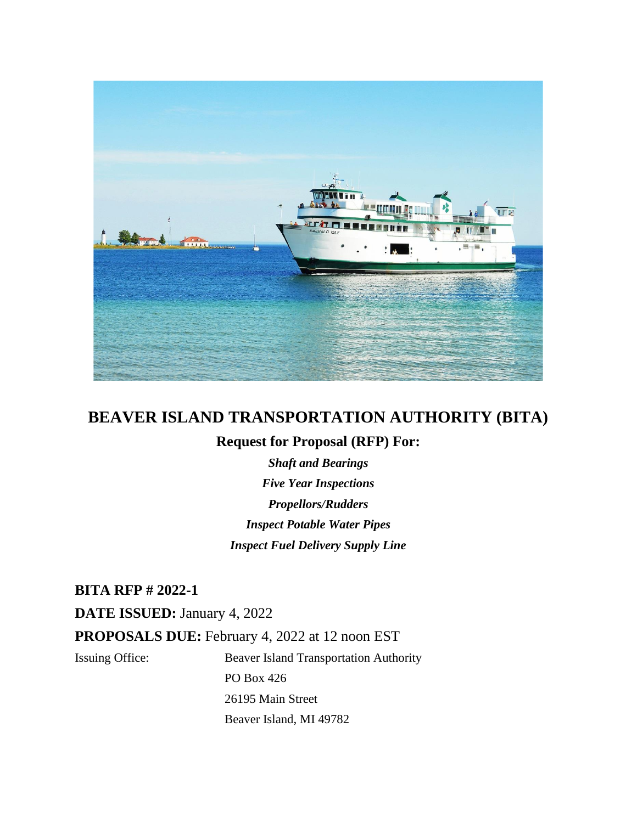

# **BEAVER ISLAND TRANSPORTATION AUTHORITY (BITA)**

## **Request for Proposal (RFP) For:**

*Shaft and Bearings Five Year Inspections Propellors/Rudders Inspect Potable Water Pipes Inspect Fuel Delivery Supply Line*

**BITA RFP # 2022-1**

**DATE ISSUED:** January 4, 2022 **PROPOSALS DUE:** February 4, 2022 at 12 noon EST Issuing Office: Beaver Island Transportation Authority PO Box 426

> 26195 Main Street Beaver Island, MI 49782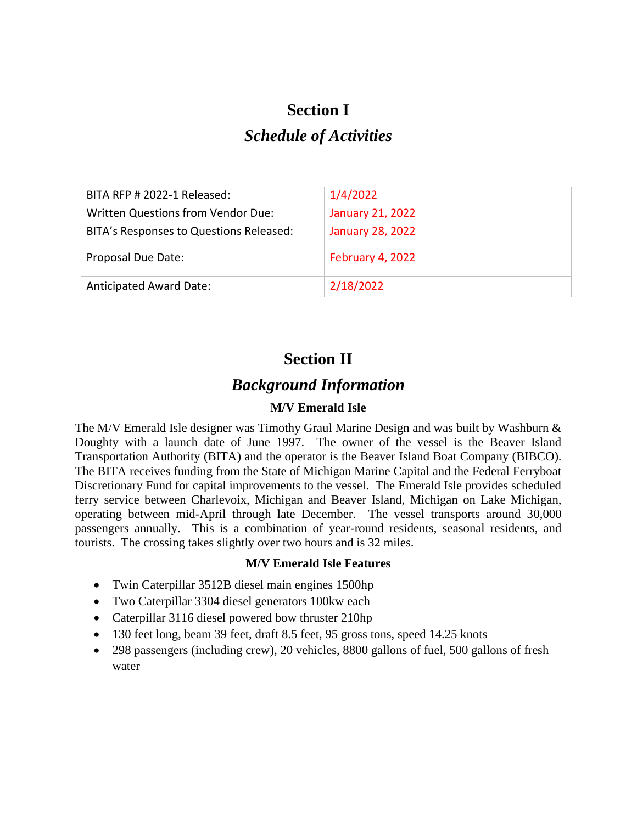# **Section I**

# *Schedule of Activities*

| BITA RFP # 2022-1 Released:             | 1/4/2022                |
|-----------------------------------------|-------------------------|
| Written Questions from Vendor Due:      | <b>January 21, 2022</b> |
| BITA's Responses to Questions Released: | <b>January 28, 2022</b> |
| Proposal Due Date:                      | February 4, 2022        |
| <b>Anticipated Award Date:</b>          | 2/18/2022               |

# **Section II**

# *Background Information*

# **M/V Emerald Isle**

The M/V Emerald Isle designer was Timothy Graul Marine Design and was built by Washburn & Doughty with a launch date of June 1997. The owner of the vessel is the Beaver Island Transportation Authority (BITA) and the operator is the Beaver Island Boat Company (BIBCO). The BITA receives funding from the State of Michigan Marine Capital and the Federal Ferryboat Discretionary Fund for capital improvements to the vessel. The Emerald Isle provides scheduled ferry service between Charlevoix, Michigan and Beaver Island, Michigan on Lake Michigan, operating between mid-April through late December. The vessel transports around 30,000 passengers annually. This is a combination of year-round residents, seasonal residents, and tourists. The crossing takes slightly over two hours and is 32 miles.

## **M/V Emerald Isle Features**

- Twin Caterpillar 3512B diesel main engines 1500hp
- Two Caterpillar 3304 diesel generators 100kw each
- Caterpillar 3116 diesel powered bow thruster 210hp
- 130 feet long, beam 39 feet, draft 8.5 feet, 95 gross tons, speed 14.25 knots
- 298 passengers (including crew), 20 vehicles, 8800 gallons of fuel, 500 gallons of fresh water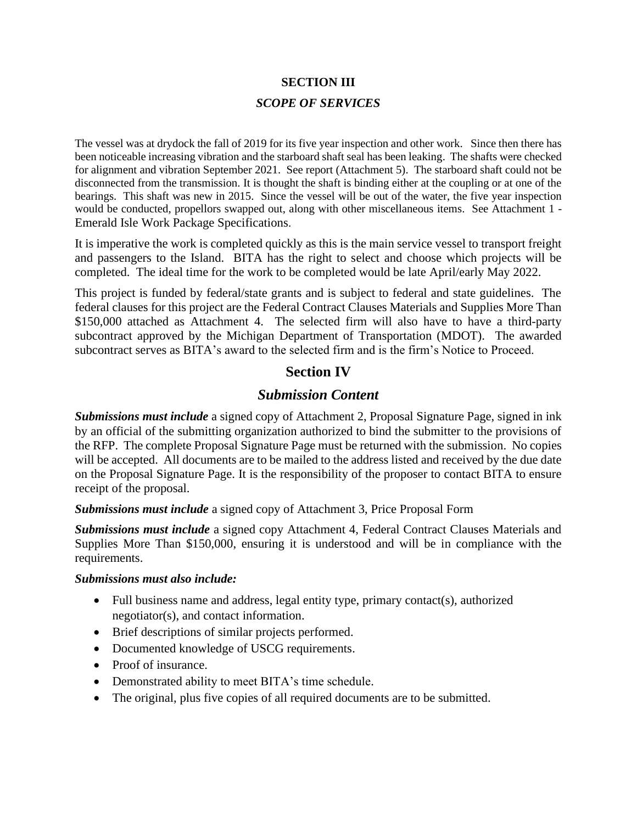# **SECTION III** *SCOPE OF SERVICES*

The vessel was at drydock the fall of 2019 for its five year inspection and other work. Since then there has been noticeable increasing vibration and the starboard shaft seal has been leaking. The shafts were checked for alignment and vibration September 2021. See report (Attachment 5). The starboard shaft could not be disconnected from the transmission. It is thought the shaft is binding either at the coupling or at one of the bearings. This shaft was new in 2015. Since the vessel will be out of the water, the five year inspection would be conducted, propellors swapped out, along with other miscellaneous items. See Attachment 1 - Emerald Isle Work Package Specifications.

It is imperative the work is completed quickly as this is the main service vessel to transport freight and passengers to the Island. BITA has the right to select and choose which projects will be completed. The ideal time for the work to be completed would be late April/early May 2022.

This project is funded by federal/state grants and is subject to federal and state guidelines. The federal clauses for this project are the Federal Contract Clauses Materials and Supplies More Than \$150,000 attached as Attachment 4. The selected firm will also have to have a third-party subcontract approved by the Michigan Department of Transportation (MDOT). The awarded subcontract serves as BITA's award to the selected firm and is the firm's Notice to Proceed.

# **Section IV**

## *Submission Content*

*Submissions must include* a signed copy of Attachment 2, Proposal Signature Page, signed in ink by an official of the submitting organization authorized to bind the submitter to the provisions of the RFP. The complete Proposal Signature Page must be returned with the submission. No copies will be accepted. All documents are to be mailed to the address listed and received by the due date on the Proposal Signature Page. It is the responsibility of the proposer to contact BITA to ensure receipt of the proposal.

*Submissions must include* a signed copy of Attachment 3, Price Proposal Form

*Submissions must include* a signed copy Attachment 4, Federal Contract Clauses Materials and Supplies More Than \$150,000, ensuring it is understood and will be in compliance with the requirements.

#### *Submissions must also include:*

- Full business name and address, legal entity type, primary contact(s), authorized negotiator(s), and contact information.
- Brief descriptions of similar projects performed.
- Documented knowledge of USCG requirements.
- Proof of insurance.
- Demonstrated ability to meet BITA's time schedule.
- The original, plus five copies of all required documents are to be submitted.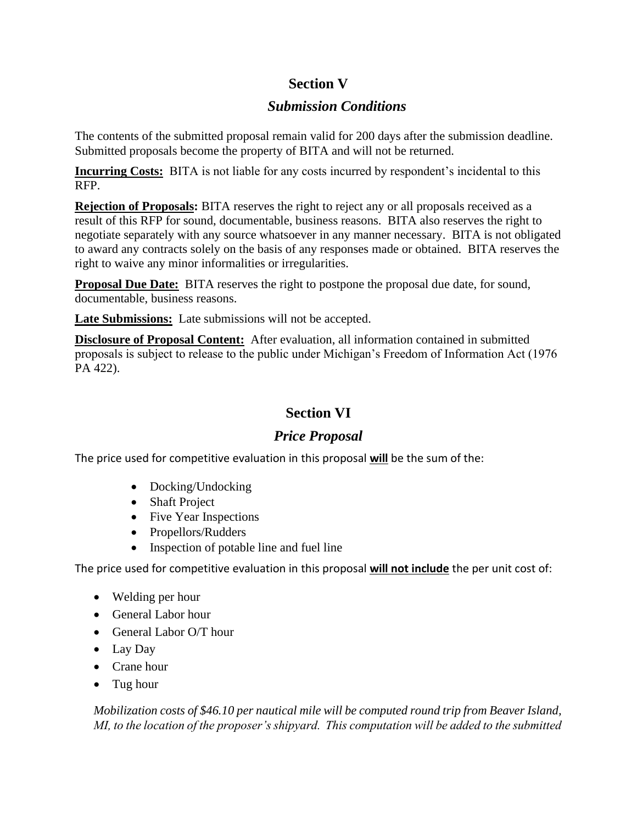# **Section V**

# *Submission Conditions*

The contents of the submitted proposal remain valid for 200 days after the submission deadline. Submitted proposals become the property of BITA and will not be returned.

**Incurring Costs:** BITA is not liable for any costs incurred by respondent's incidental to this RFP.

**Rejection of Proposals:** BITA reserves the right to reject any or all proposals received as a result of this RFP for sound, documentable, business reasons. BITA also reserves the right to negotiate separately with any source whatsoever in any manner necessary. BITA is not obligated to award any contracts solely on the basis of any responses made or obtained. BITA reserves the right to waive any minor informalities or irregularities.

**Proposal Due Date:** BITA reserves the right to postpone the proposal due date, for sound, documentable, business reasons.

**Late Submissions:** Late submissions will not be accepted.

**Disclosure of Proposal Content:** After evaluation, all information contained in submitted proposals is subject to release to the public under Michigan's Freedom of Information Act (1976 PA 422).

# **Section VI**

# *Price Proposal*

The price used for competitive evaluation in this proposal **will** be the sum of the:

- Docking/Undocking
- Shaft Project
- Five Year Inspections
- Propellors/Rudders
- Inspection of potable line and fuel line

The price used for competitive evaluation in this proposal **will not include** the per unit cost of:

- Welding per hour
- General Labor hour
- General Labor O/T hour
- Lay Day
- Crane hour
- Tug hour

*Mobilization costs of \$46.10 per nautical mile will be computed round trip from Beaver Island, MI, to the location of the proposer's shipyard. This computation will be added to the submitted*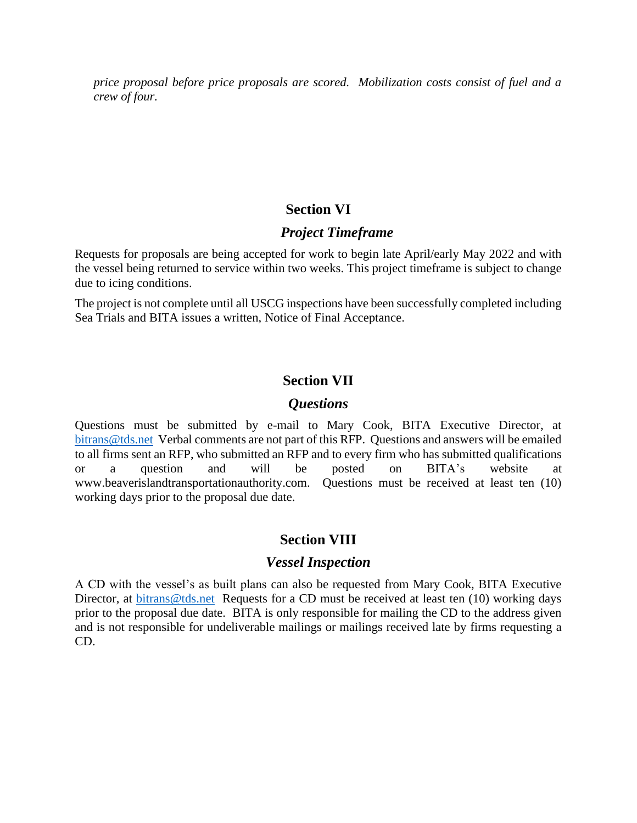*price proposal before price proposals are scored. Mobilization costs consist of fuel and a crew of four.*

### **Section VI**

#### *Project Timeframe*

Requests for proposals are being accepted for work to begin late April/early May 2022 and with the vessel being returned to service within two weeks. This project timeframe is subject to change due to icing conditions.

The project is not complete until all USCG inspections have been successfully completed including Sea Trials and BITA issues a written, Notice of Final Acceptance.

### **Section VII**

#### *Questions*

Questions must be submitted by e-mail to Mary Cook, BITA Executive Director, at [bitrans@tds.net](mailto:bitrans@tds.net) Verbal comments are not part of this RFP. Questions and answers will be emailed to all firms sent an RFP, who submitted an RFP and to every firm who has submitted qualifications or a question and will be posted on BITA's website at www.beaverislandtransportationauthority.com. Questions must be received at least ten (10) working days prior to the proposal due date.

## **Section VIII**

#### *Vessel Inspection*

A CD with the vessel's as built plans can also be requested from Mary Cook, BITA Executive Director, at [bitrans@tds.net](mailto:bitrans@tds.net) Requests for a CD must be received at least ten (10) working days prior to the proposal due date. BITA is only responsible for mailing the CD to the address given and is not responsible for undeliverable mailings or mailings received late by firms requesting a CD.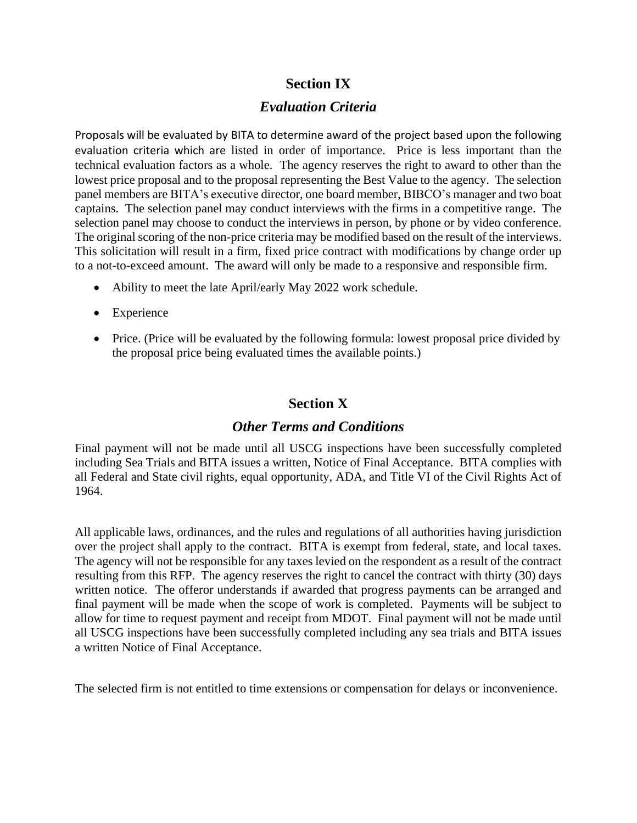# **Section IX**

## *Evaluation Criteria*

Proposals will be evaluated by BITA to determine award of the project based upon the following evaluation criteria which are listed in order of importance. Price is less important than the technical evaluation factors as a whole. The agency reserves the right to award to other than the lowest price proposal and to the proposal representing the Best Value to the agency. The selection panel members are BITA's executive director, one board member, BIBCO's manager and two boat captains. The selection panel may conduct interviews with the firms in a competitive range. The selection panel may choose to conduct the interviews in person, by phone or by video conference. The original scoring of the non-price criteria may be modified based on the result of the interviews. This solicitation will result in a firm, fixed price contract with modifications by change order up to a not-to-exceed amount. The award will only be made to a responsive and responsible firm.

- Ability to meet the late April/early May 2022 work schedule.
- Experience
- Price. (Price will be evaluated by the following formula: lowest proposal price divided by the proposal price being evaluated times the available points.)

# **Section X**

## *Other Terms and Conditions*

Final payment will not be made until all USCG inspections have been successfully completed including Sea Trials and BITA issues a written, Notice of Final Acceptance. BITA complies with all Federal and State civil rights, equal opportunity, ADA, and Title VI of the Civil Rights Act of 1964.

All applicable laws, ordinances, and the rules and regulations of all authorities having jurisdiction over the project shall apply to the contract. BITA is exempt from federal, state, and local taxes. The agency will not be responsible for any taxes levied on the respondent as a result of the contract resulting from this RFP. The agency reserves the right to cancel the contract with thirty (30) days written notice. The offeror understands if awarded that progress payments can be arranged and final payment will be made when the scope of work is completed. Payments will be subject to allow for time to request payment and receipt from MDOT. Final payment will not be made until all USCG inspections have been successfully completed including any sea trials and BITA issues a written Notice of Final Acceptance.

The selected firm is not entitled to time extensions or compensation for delays or inconvenience.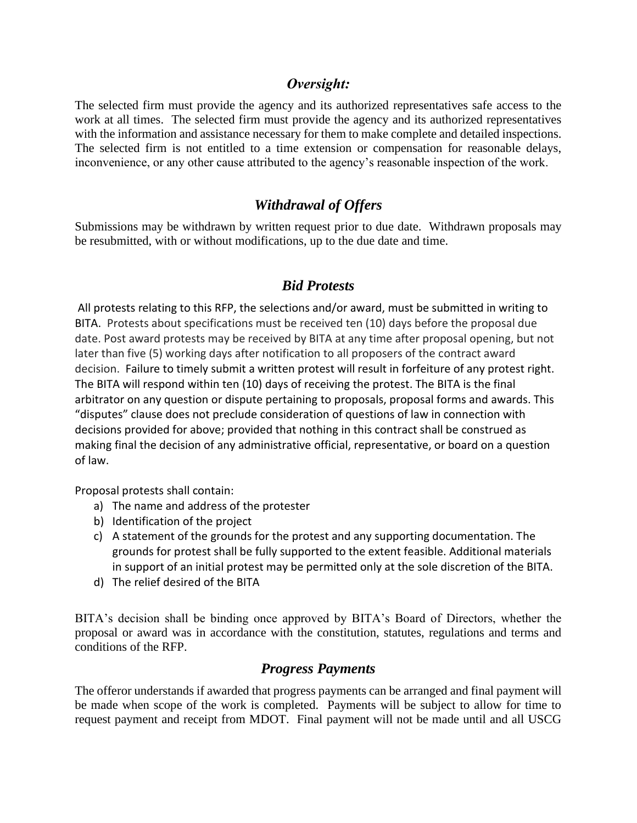### *Oversight:*

The selected firm must provide the agency and its authorized representatives safe access to the work at all times. The selected firm must provide the agency and its authorized representatives with the information and assistance necessary for them to make complete and detailed inspections. The selected firm is not entitled to a time extension or compensation for reasonable delays, inconvenience, or any other cause attributed to the agency's reasonable inspection of the work.

# *Withdrawal of Offers*

Submissions may be withdrawn by written request prior to due date. Withdrawn proposals may be resubmitted, with or without modifications, up to the due date and time.

## *Bid Protests*

All protests relating to this RFP, the selections and/or award, must be submitted in writing to BITA. Protests about specifications must be received ten (10) days before the proposal due date. Post award protests may be received by BITA at any time after proposal opening, but not later than five (5) working days after notification to all proposers of the contract award decision. Failure to timely submit a written protest will result in forfeiture of any protest right. The BITA will respond within ten (10) days of receiving the protest. The BITA is the final arbitrator on any question or dispute pertaining to proposals, proposal forms and awards. This "disputes" clause does not preclude consideration of questions of law in connection with decisions provided for above; provided that nothing in this contract shall be construed as making final the decision of any administrative official, representative, or board on a question of law.

Proposal protests shall contain:

- a) The name and address of the protester
- b) Identification of the project
- c) A statement of the grounds for the protest and any supporting documentation. The grounds for protest shall be fully supported to the extent feasible. Additional materials in support of an initial protest may be permitted only at the sole discretion of the BITA.
- d) The relief desired of the BITA

BITA's decision shall be binding once approved by BITA's Board of Directors, whether the proposal or award was in accordance with the constitution, statutes, regulations and terms and conditions of the RFP.

## *Progress Payments*

The offeror understands if awarded that progress payments can be arranged and final payment will be made when scope of the work is completed. Payments will be subject to allow for time to request payment and receipt from MDOT. Final payment will not be made until and all USCG